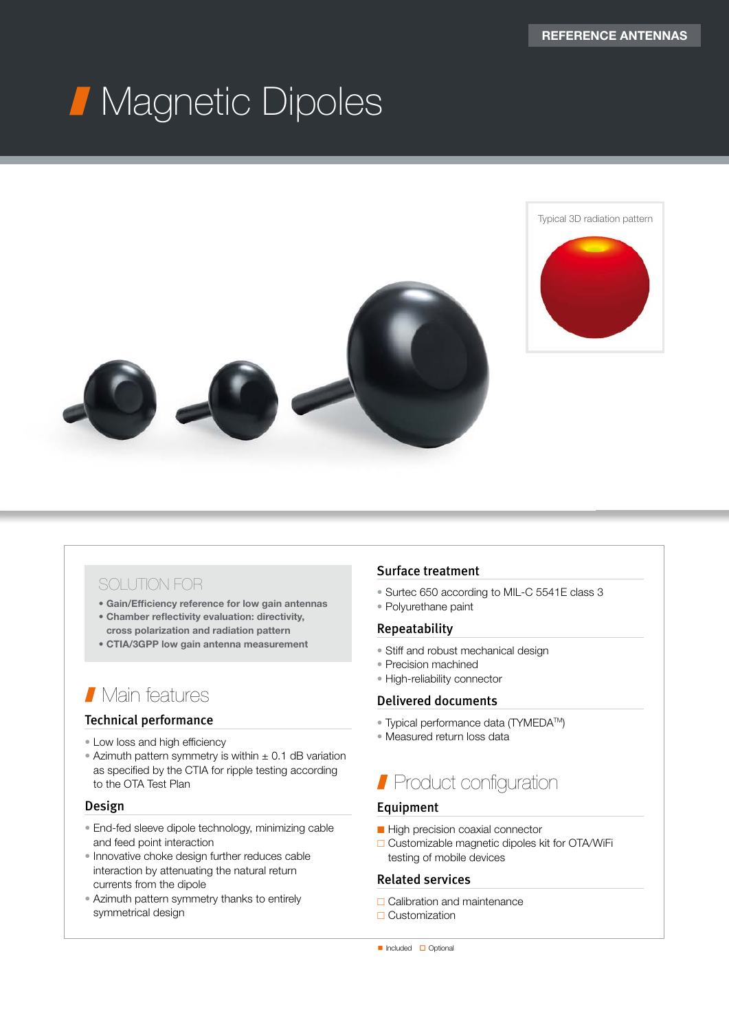# Magnetic Dipoles





### SOLUTION FOR

- Gain/Efficiency reference for low gain antennas
- Chamber reflectivity evaluation: directivity, cross polarization and radiation pattern
- CTIA/3GPP low gain antenna measurement

## Main features

#### Technical performance

- Low loss and high efficiency
- Azimuth pattern symmetry is within  $\pm$  0.1 dB variation as specified by the CTIA for ripple testing according to the OTA Test Plan

#### Design

- End-fed sleeve dipole technology, minimizing cable and feed point interaction
- Innovative choke design further reduces cable interaction by attenuating the natural return currents from the dipole
- Azimuth pattern symmetry thanks to entirely symmetrical design

#### Surface treatment

- Surtec 650 according to MIL-C 5541E class 3
- Polyurethane paint

#### Repeatability

- Stiff and robust mechanical design
- Precision machined
- High-reliability connector

#### Delivered documents

- Typical performance data (TYMEDA<sup>TM</sup>)
- Measured return loss data

## **Product configuration**

#### Equipment

- High precision coaxial connector
- □ Customizable magnetic dipoles kit for OTA/WiFi testing of mobile devices

#### Related services

- □ Calibration and maintenance
- □ Customization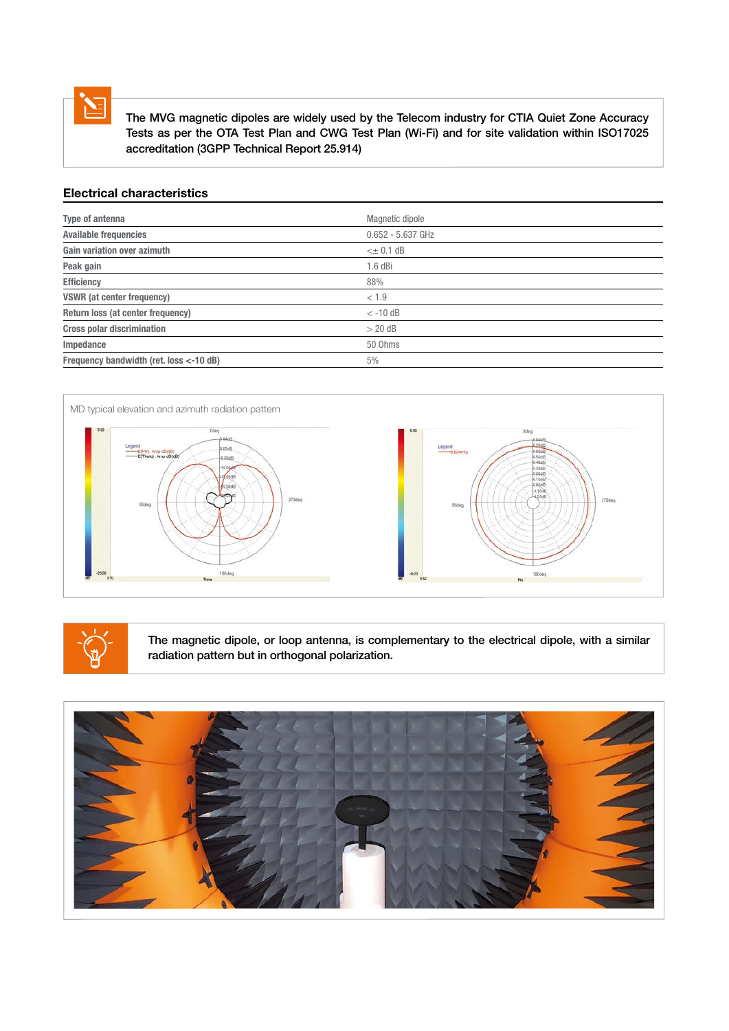

 The MVG magnetic dipoles are widely used by the Telecom industry for CTIA Quiet Zone Accuracy Tests as per the OTA Test Plan and CWG Test Plan (Wi-Fi) and for site validation within ISO17025 accreditation (3GPP Technical Report 25.914)

#### Electrical characteristics

| Type of antenna                         | Magnetic dipole     |
|-----------------------------------------|---------------------|
| <b>Available frequencies</b>            | $0.652 - 5.637$ GHz |
| Gain variation over azimuth             | $\leq$ $\pm$ 0.1 dB |
| Peak gain                               | $1.6$ dBi           |
| <b>Efficiency</b>                       | 88%                 |
| <b>VSWR</b> (at center frequency)       | < 1.9               |
| Return loss (at center frequency)       | $< -10$ dB          |
| <b>Cross polar discrimination</b>       | $> 20$ dB           |
| Impedance                               | 50 Ohms             |
| Frequency bandwidth (ret. loss <-10 dB) | 5%                  |





The magnetic dipole, or loop antenna, is complementary to the electrical dipole, with a similar radiation pattern but in orthogonal polarization.

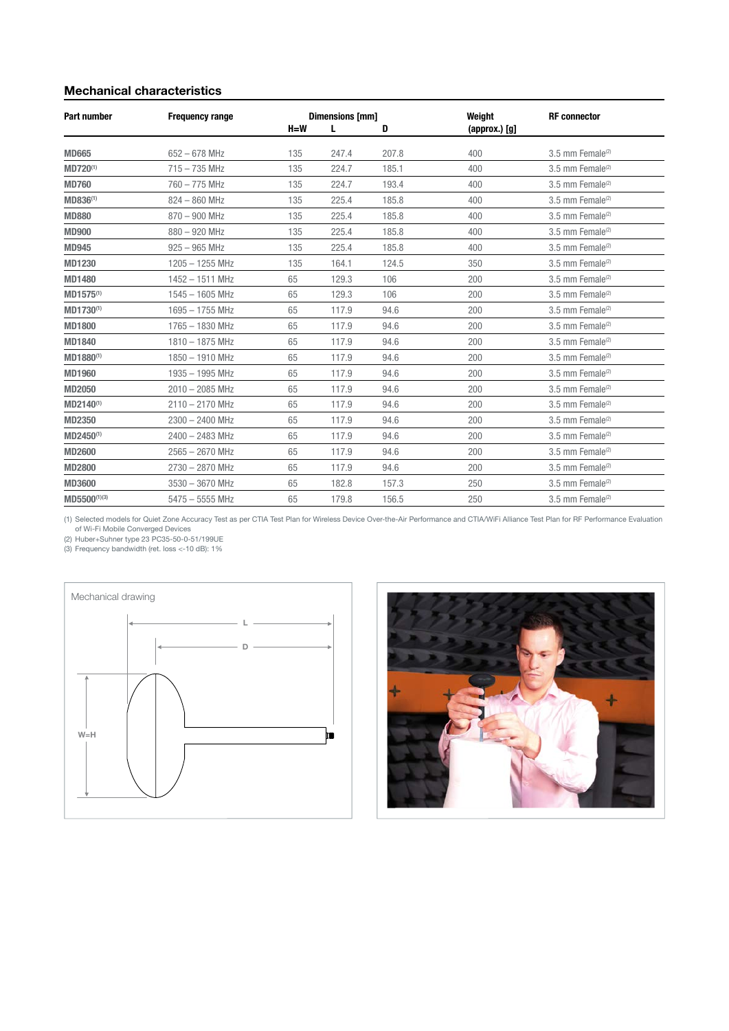#### Mechanical characteristics

| <b>Part number</b>    | <b>Frequency range</b> | Dimensions [mm] |       | Weight | <b>RF</b> connector |                              |
|-----------------------|------------------------|-----------------|-------|--------|---------------------|------------------------------|
|                       |                        | $H=W$           | L     | D      | $(approx.)$ $[g]$   |                              |
| <b>MD665</b>          | $652 - 678$ MHz        | 135             | 247.4 | 207.8  | 400                 | 3.5 mm Female <sup>(2)</sup> |
| MD720 <sup>(1)</sup>  | $715 - 735$ MHz        | 135             | 224.7 | 185.1  | 400                 | 3.5 mm Female <sup>(2)</sup> |
| <b>MD760</b>          | 760 - 775 MHz          | 135             | 224.7 | 193.4  | 400                 | 3.5 mm Female <sup>(2)</sup> |
| MD836 <sup>(1)</sup>  | $824 - 860$ MHz        | 135             | 225.4 | 185.8  | 400                 | 3.5 mm Female <sup>(2)</sup> |
| <b>MD880</b>          | 870 - 900 MHz          | 135             | 225.4 | 185.8  | 400                 | 3.5 mm Female <sup>(2)</sup> |
| <b>MD900</b>          | $880 - 920$ MHz        | 135             | 225.4 | 185.8  | 400                 | 3.5 mm Female <sup>(2)</sup> |
| <b>MD945</b>          | $925 - 965$ MHz        | 135             | 225.4 | 185.8  | 400                 | 3.5 mm Female <sup>(2)</sup> |
| <b>MD1230</b>         | $1205 - 1255$ MHz      | 135             | 164.1 | 124.5  | 350                 | 3.5 mm Female <sup>(2)</sup> |
| <b>MD1480</b>         | 1452 - 1511 MHz        | 65              | 129.3 | 106    | 200                 | 3.5 mm Female <sup>(2)</sup> |
| MD1575 <sup>(1)</sup> | $1545 - 1605$ MHz      | 65              | 129.3 | 106    | 200                 | 3.5 mm Female <sup>(2)</sup> |
| MD1730 <sup>(1)</sup> | 1695 - 1755 MHz        | 65              | 117.9 | 94.6   | 200                 | 3.5 mm Female <sup>(2)</sup> |
| <b>MD1800</b>         | 1765 - 1830 MHz        | 65              | 117.9 | 94.6   | 200                 | 3.5 mm Female <sup>(2)</sup> |
| <b>MD1840</b>         | 1810 - 1875 MHz        | 65              | 117.9 | 94.6   | 200                 | 3.5 mm Female <sup>(2)</sup> |
| MD1880(1)             | 1850 - 1910 MHz        | 65              | 117.9 | 94.6   | 200                 | 3.5 mm Female <sup>(2)</sup> |
| <b>MD1960</b>         | 1935 - 1995 MHz        | 65              | 117.9 | 94.6   | 200                 | 3.5 mm Female <sup>(2)</sup> |
| <b>MD2050</b>         | $2010 - 2085$ MHz      | 65              | 117.9 | 94.6   | 200                 | 3.5 mm Female <sup>(2)</sup> |
| MD2140 <sup>(1)</sup> | $2110 - 2170$ MHz      | 65              | 117.9 | 94.6   | 200                 | 3.5 mm Female <sup>(2)</sup> |
| MD2350                | $2300 - 2400$ MHz      | 65              | 117.9 | 94.6   | 200                 | 3.5 mm Female <sup>(2)</sup> |
| MD2450 <sup>(1)</sup> | $2400 - 2483$ MHz      | 65              | 117.9 | 94.6   | 200                 | 3.5 mm Female <sup>(2)</sup> |
| <b>MD2600</b>         | $2565 - 2670$ MHz      | 65              | 117.9 | 94.6   | 200                 | 3.5 mm Female <sup>(2)</sup> |
| <b>MD2800</b>         | 2730 - 2870 MHz        | 65              | 117.9 | 94.6   | 200                 | 3.5 mm Female <sup>(2)</sup> |
| <b>MD3600</b>         | $3530 - 3670$ MHz      | 65              | 182.8 | 157.3  | 250                 | 3.5 mm Female $(2)$          |
| MD5500(1)(3)          | $5475 - 5555$ MHz      | 65              | 179.8 | 156.5  | 250                 | 3.5 mm Female <sup>(2)</sup> |

(1) Selected models for Quiet Zone Accuracy Test as per CTIA Test Plan for Wireless Device Over-the-Air Performance and CTIA/WiFi Alliance Test Plan for RF Performance Evaluation<br>(2)Huber+Suhner type 23 PC35-50-0-51/199UE<br>